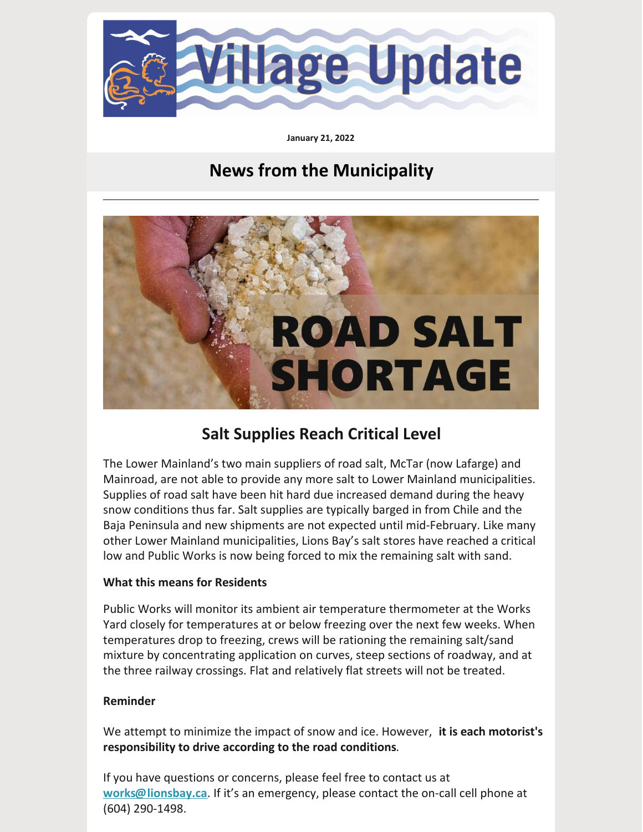

**January 21, 2022**

### **News from the Municipality**



### **Salt Supplies Reach Critical Level**

The Lower Mainland's two main suppliers of road salt, McTar (now Lafarge) and Mainroad, are not able to provide any more salt to Lower Mainland municipalities. Supplies of road salt have been hit hard due increased demand during the heavy snow conditions thus far. Salt supplies are typically barged in from Chile and the Baja Peninsula and new shipments are not expected until mid-February. Like many other Lower Mainland municipalities, Lions Bay's salt stores have reached a critical low and Public Works is now being forced to mix the remaining salt with sand.

#### **What this means for Residents**

Public Works will monitor its ambient air temperature thermometer at the Works Yard closely for temperatures at or below freezing over the next few weeks. When temperatures drop to freezing, crews will be rationing the remaining salt/sand mixture by concentrating application on curves, steep sections of roadway, and at the three railway crossings. Flat and relatively flat streets will not be treated.

#### **Reminder**

We attempt to minimize the impact of snow and ice. However, **it is each motorist's responsibility to drive according to the road conditions**.

If you have questions or concerns, please feel free to contact us at **[works@lionsbay.ca](mailto:works@lionsbay.ca)**. If it's an emergency, please contact the on-call cell phone at (604) 290-1498.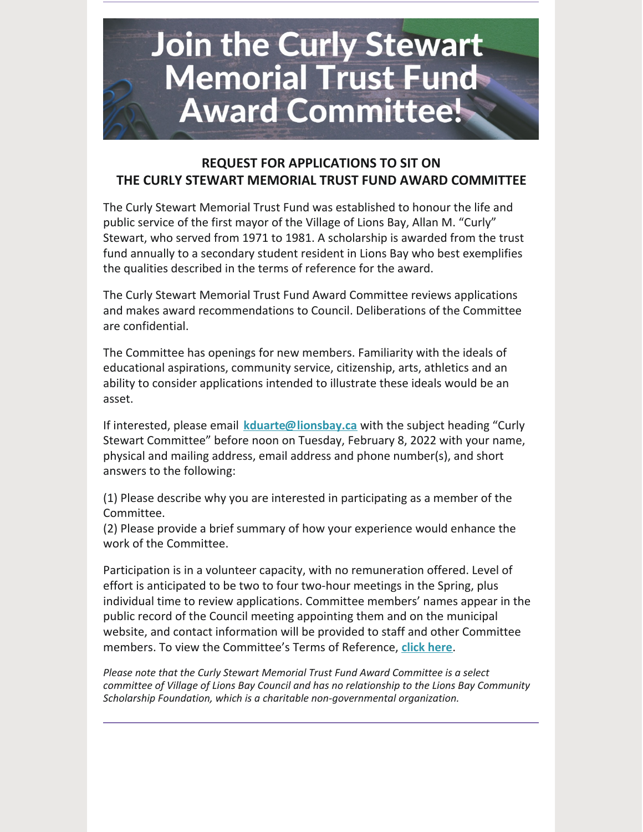# **Join the Curly Stewart Memorial Trust Fund Award Committee!**

#### **REQUEST FOR APPLICATIONS TO SIT ON THE CURLY STEWART MEMORIAL TRUST FUND AWARD COMMITTEE**

The Curly Stewart Memorial Trust Fund was established to honour the life and public service of the first mayor of the Village of Lions Bay, Allan M. "Curly" Stewart, who served from 1971 to 1981. A scholarship is awarded from the trust fund annually to a secondary student resident in Lions Bay who best exemplifies the qualities described in the terms of reference for the award.

The Curly Stewart Memorial Trust Fund Award Committee reviews applications and makes award recommendations to Council. Deliberations of the Committee are confidential.

The Committee has openings for new members. Familiarity with the ideals of educational aspirations, community service, citizenship, arts, athletics and an ability to consider applications intended to illustrate these ideals would be an asset.

If interested, please email **[kduarte@lionsbay.ca](mailto:kduarte@lionsbay.ca)** with the subject heading "Curly Stewart Committee" before noon on Tuesday, February 8, 2022 with your name, physical and mailing address, email address and phone number(s), and short answers to the following:

(1) Please describe why you are interested in participating as a member of the Committee.

(2) Please provide a brief summary of how your experience would enhance the work of the Committee.

Participation is in a volunteer capacity, with no remuneration offered. Level of effort is anticipated to be two to four two-hour meetings in the Spring, plus individual time to review applications. Committee members' names appear in the public record of the Council meeting appointing them and on the municipal website, and contact information will be provided to staff and other Committee members. To view the Committee's Terms of Reference, **click [here](https://www.lionsbay.ca/sites/2/files/docs/government/Committees/curly_stewart_memorial_committee_tor_amended_dec_15_2020.pdf)**.

*Please note that the Curly Stewart Memorial Trust Fund Award Committee is a select committee of Village of Lions Bay Council and has no relationship to the Lions Bay Community Scholarship Foundation, which is a charitable non-governmental organization.*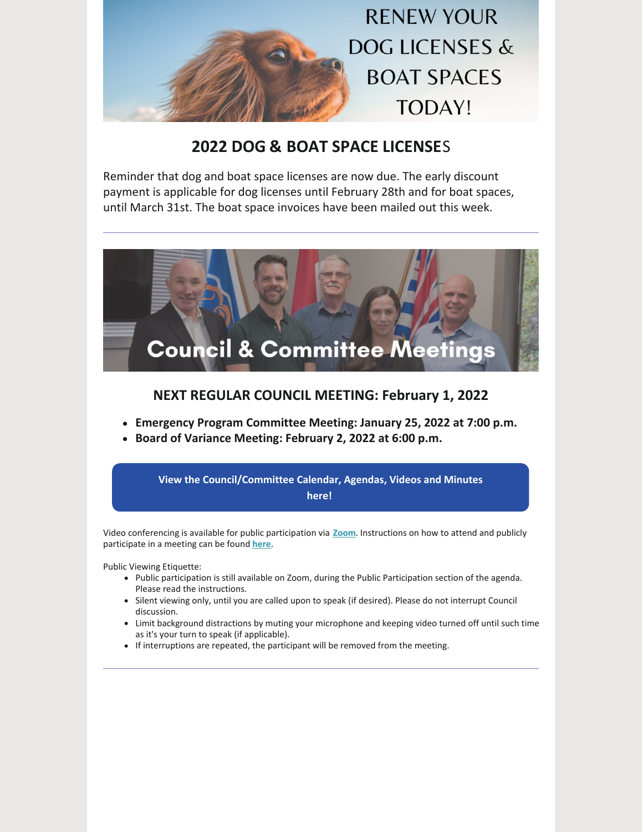

#### **2022 DOG & BOAT SPACE LICENSE**S

Reminder that dog and boat space licenses are now due. The early discount payment is applicable for dog licenses until February 28th and for boat spaces, until March 31st. The boat space invoices have been mailed out this week.



#### **NEXT REGULAR COUNCIL MEETING: February 1, 2022**

- **Emergency Program Committee Meeting: January 25, 2022 at 7:00 p.m.**
- **Board of Variance Meeting: February 2, 2022 at 6:00 p.m.**

**View the [Council/Committee](https://www.lionsbay.ca/government/council-committee-meetings/agendas-minutes) Calendar, Agendas, Videos and Minutes here!**

Video conferencing is available for public participation via **[Zoom](https://zoom.us/)**. Instructions on how to attend and publicly participate in a meeting can be found **[here](https://www.lionsbay.ca/government/council-committee-meetings)**.

Public Viewing Etiquette:

- Public participation is still available on Zoom, during the Public Participation section of the agenda. Please read the instructions.
- Silent viewing only, until you are called upon to speak (if desired). Please do not interrupt Council discussion.
- Limit background distractions by muting your microphone and keeping video turned off until such time as it's your turn to speak (if applicable).
- If interruptions are repeated, the participant will be removed from the meeting.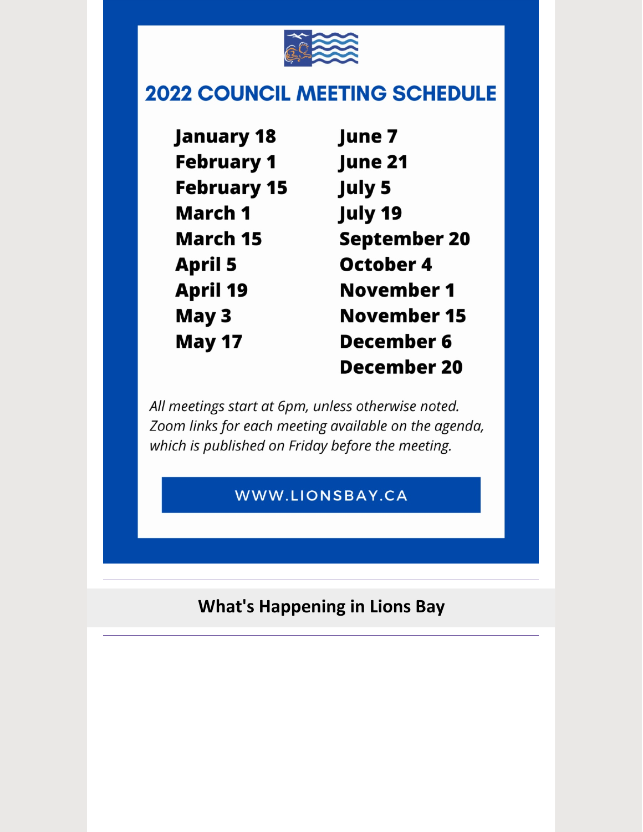

## **2022 COUNCIL MEETING SCHEDULE**

| <b>January 18</b>  | June 7              |
|--------------------|---------------------|
| <b>February 1</b>  | June 21             |
| <b>February 15</b> | <b>July 5</b>       |
| <b>March 1</b>     | <b>July 19</b>      |
| <b>March 15</b>    | <b>September 20</b> |
| <b>April 5</b>     | <b>October 4</b>    |
| <b>April 19</b>    | <b>November 1</b>   |
| May 3              | <b>November 15</b>  |
| <b>May 17</b>      | December 6          |
|                    | December 20         |

All meetings start at 6pm, unless otherwise noted. Zoom links for each meeting available on the agenda, which is published on Friday before the meeting.

#### WWW.LIONSBAY.CA

**What's Happening in Lions Bay**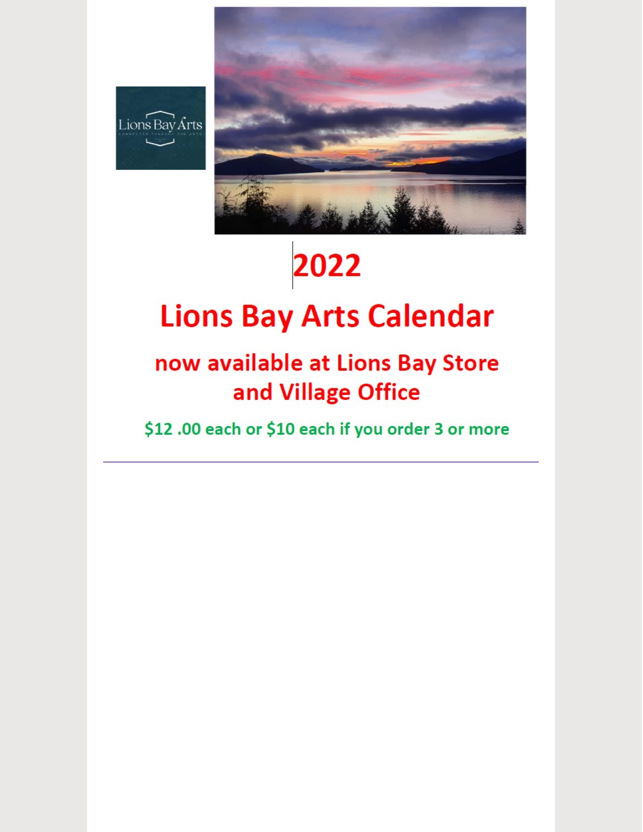



# 2022

# **Lions Bay Arts Calendar**

## now available at Lions Bay Store and Village Office

\$12.00 each or \$10 each if you order 3 or more